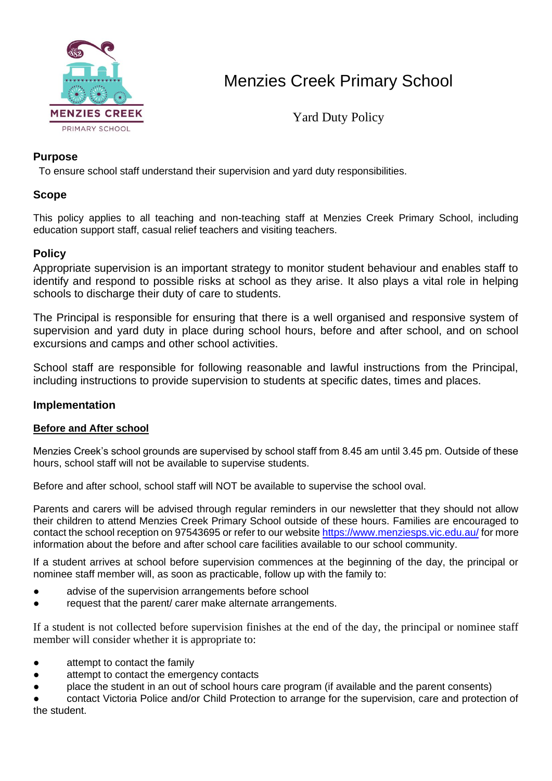

Yard Duty Policy

### **Purpose**

To ensure school staff understand their supervision and yard duty responsibilities.

### **Scope**

This policy applies to all teaching and non-teaching staff at Menzies Creek Primary School, including education support staff, casual relief teachers and visiting teachers.

## **Policy**

Appropriate supervision is an important strategy to monitor student behaviour and enables staff to identify and respond to possible risks at school as they arise. It also plays a vital role in helping schools to discharge their duty of care to students.

The Principal is responsible for ensuring that there is a well organised and responsive system of supervision and yard duty in place during school hours, before and after school, and on school excursions and camps and other school activities.

School staff are responsible for following reasonable and lawful instructions from the Principal, including instructions to provide supervision to students at specific dates, times and places.

### **Implementation**

### **Before and After school**

Menzies Creek's school grounds are supervised by school staff from 8.45 am until 3.45 pm. Outside of these hours, school staff will not be available to supervise students.

Before and after school, school staff will NOT be available to supervise the school oval.

Parents and carers will be advised through regular reminders in our newsletter that they should not allow their children to attend Menzies Creek Primary School outside of these hours. Families are encouraged to contact the school reception on 97543695 or refer to our websit[e https://www.menziesps.vic.edu.au/](https://www.menziesps.vic.edu.au/) for more information about the before and after school care facilities available to our school community.

If a student arrives at school before supervision commences at the beginning of the day, the principal or nominee staff member will, as soon as practicable, follow up with the family to:

- advise of the supervision arrangements before school
- request that the parent/ carer make alternate arrangements.

If a student is not collected before supervision finishes at the end of the day, the principal or nominee staff member will consider whether it is appropriate to:

- attempt to contact the family
- attempt to contact the emergency contacts
- place the student in an out of school hours care program (if available and the parent consents)

contact Victoria Police and/or Child Protection to arrange for the supervision, care and protection of the student.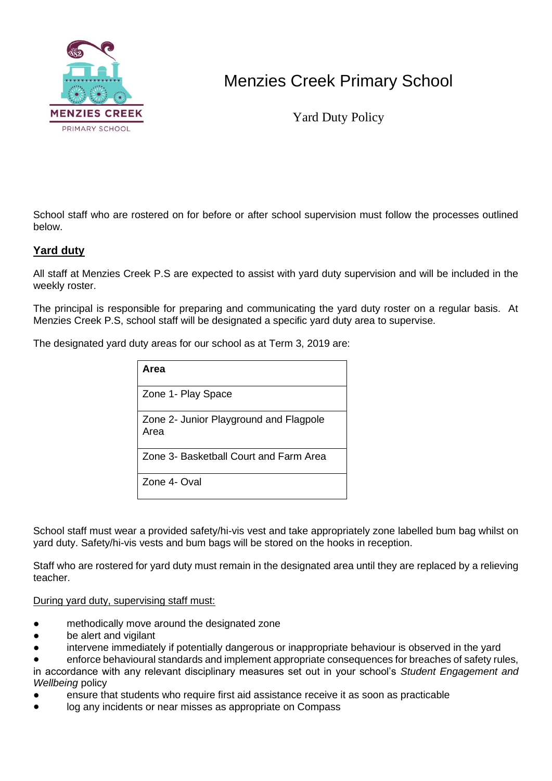

Yard Duty Policy

School staff who are rostered on for before or after school supervision must follow the processes outlined below.

### **Yard duty**

All staff at Menzies Creek P.S are expected to assist with yard duty supervision and will be included in the weekly roster.

The principal is responsible for preparing and communicating the yard duty roster on a regular basis. At Menzies Creek P.S, school staff will be designated a specific yard duty area to supervise.

The designated yard duty areas for our school as at Term 3, 2019 are:

| Area                                           |
|------------------------------------------------|
| Zone 1- Play Space                             |
| Zone 2- Junior Playground and Flagpole<br>Area |
| Zone 3- Basketball Court and Farm Area         |
| Zone 4- Oval                                   |

School staff must wear a provided safety/hi-vis vest and take appropriately zone labelled bum bag whilst on yard duty. Safety/hi-vis vests and bum bags will be stored on the hooks in reception.

Staff who are rostered for yard duty must remain in the designated area until they are replaced by a relieving teacher.

#### During yard duty, supervising staff must:

- methodically move around the designated zone
- be alert and vigilant
- intervene immediately if potentially dangerous or inappropriate behaviour is observed in the yard

enforce behavioural standards and implement appropriate consequences for breaches of safety rules, in accordance with any relevant disciplinary measures set out in your school's *Student Engagement and Wellbeing* policy

- ensure that students who require first aid assistance receive it as soon as practicable
- log any incidents or near misses as appropriate on Compass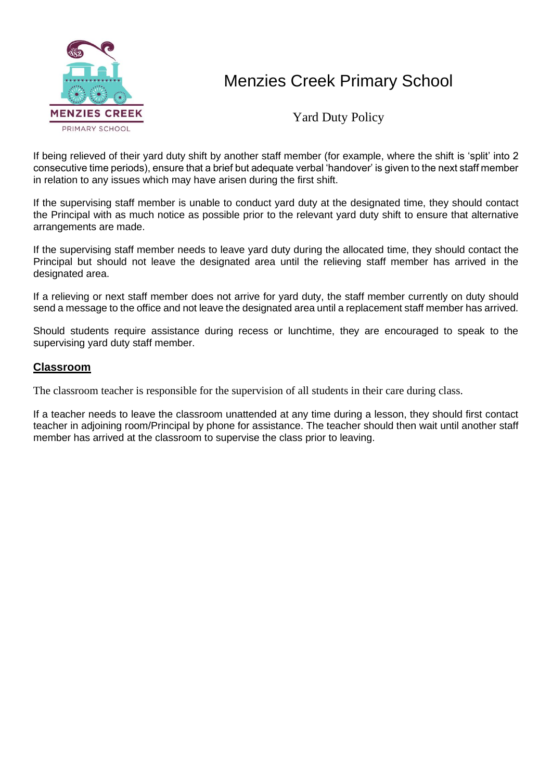

Yard Duty Policy

If being relieved of their yard duty shift by another staff member (for example, where the shift is 'split' into 2 consecutive time periods), ensure that a brief but adequate verbal 'handover' is given to the next staff member in relation to any issues which may have arisen during the first shift.

If the supervising staff member is unable to conduct yard duty at the designated time, they should contact the Principal with as much notice as possible prior to the relevant yard duty shift to ensure that alternative arrangements are made.

If the supervising staff member needs to leave yard duty during the allocated time, they should contact the Principal but should not leave the designated area until the relieving staff member has arrived in the designated area.

If a relieving or next staff member does not arrive for yard duty, the staff member currently on duty should send a message to the office and not leave the designated area until a replacement staff member has arrived.

Should students require assistance during recess or lunchtime, they are encouraged to speak to the supervising yard duty staff member.

### **Classroom**

The classroom teacher is responsible for the supervision of all students in their care during class.

If a teacher needs to leave the classroom unattended at any time during a lesson, they should first contact teacher in adjoining room/Principal by phone for assistance. The teacher should then wait until another staff member has arrived at the classroom to supervise the class prior to leaving.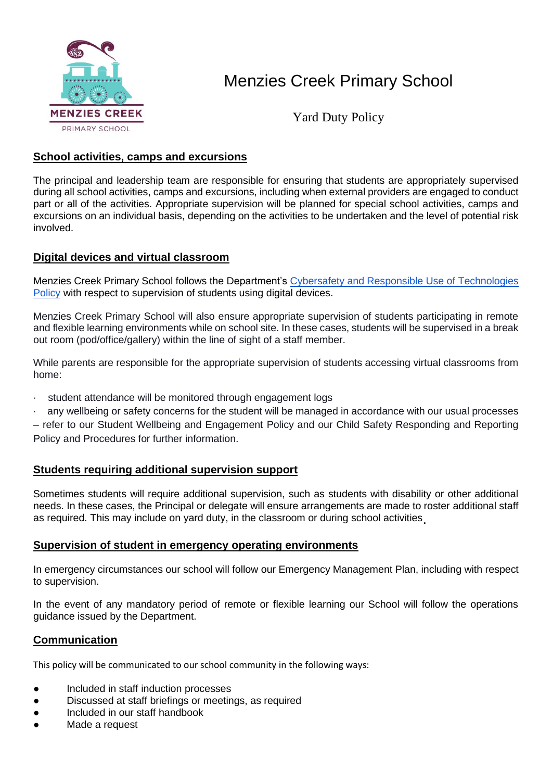

Yard Duty Policy

#### **School activities, camps and excursions**

The principal and leadership team are responsible for ensuring that students are appropriately supervised during all school activities, camps and excursions, including when external providers are engaged to conduct part or all of the activities. Appropriate supervision will be planned for special school activities, camps and excursions on an individual basis, depending on the activities to be undertaken and the level of potential risk involved.

### **Digital devices and virtual classroom**

Menzies Creek Primary School follows the Department'[s](https://www2.education.vic.gov.au/pal/cybersafety/policy) [Cybersafety and Responsible Use of Technologies](https://www2.education.vic.gov.au/pal/cybersafety/policy)  [Policy](https://www2.education.vic.gov.au/pal/cybersafety/policy) with respect to supervision of students using digital devices.

Menzies Creek Primary School will also ensure appropriate supervision of students participating in remote and flexible learning environments while on school site. In these cases, students will be supervised in a break out room (pod/office/gallery) within the line of sight of a staff member.

While parents are responsible for the appropriate supervision of students accessing virtual classrooms from home:

- · student attendance will be monitored through engagement logs
- · any wellbeing or safety concerns for the student will be managed in accordance with our usual processes

– refer to our Student Wellbeing and Engagement Policy and our Child Safety Responding and Reporting Policy and Procedures for further information.

### **Students requiring additional supervision support**

Sometimes students will require additional supervision, such as students with disability or other additional needs. In these cases, the Principal or delegate will ensure arrangements are made to roster additional staff as required. This may include on yard duty, in the classroom or during school activities.

#### **Supervision of student in emergency operating environments**

In emergency circumstances our school will follow our Emergency Management Plan, including with respect to supervision.

In the event of any mandatory period of remote or flexible learning our School will follow the operations guidance issued by the Department.

### **Communication**

This policy will be communicated to our school community in the following ways:

- Included in staff induction processes
- Discussed at staff briefings or meetings, as required
- Included in our staff handbook
- Made a request